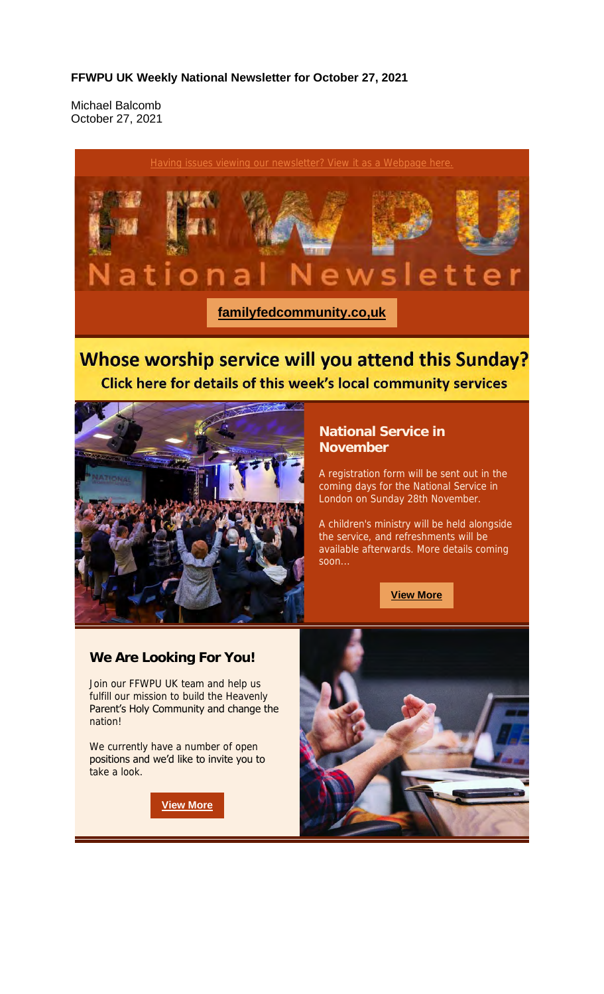#### **FFWPU UK Weekly National Newsletter for October 27, 2021**

Michael Balcomb October 27, 2021



### Whose worship service will you attend this Sunday? Click here for details of this week's local community services



#### **National Service in November**

A registration form will be sent out in the coming days for the National Service in London on Sunday 28th November.

A children's ministry will be held alongside the service, and refreshments will be available afterwards. More details coming soon...

**View More**

#### **We Are Looking For You!**

Join our FFWPU UK team and help us fulfill our mission to build the Heavenly Parent's Holy Community and change the nation!

We currently have a number of open positions and we'd like to invite you to take a look.

**View More**

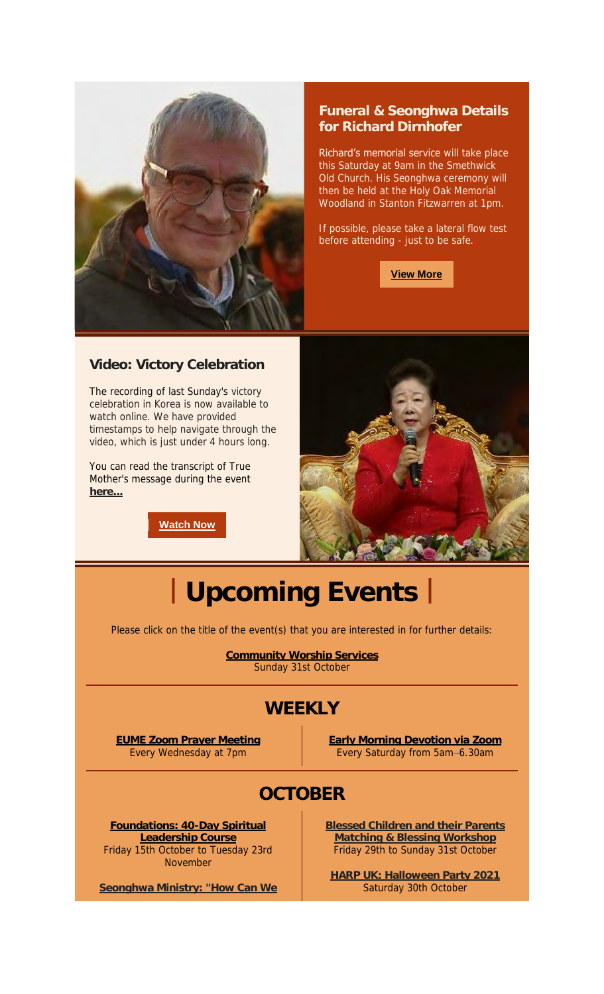

#### **Funeral & Seonghwa Details for Richard Dirnhofer**

Richard's memorial service will take place this Saturday at 9am in the Smethwick Old Church. His Seonghwa ceremony will then be held at the Holy Oak Memorial Woodland in Stanton Fitzwarren at 1pm.

If possible, please take a lateral flow test before attending - just to be safe.

**View More**

#### **Video: Victory Celebration**

The recording of last Sunday's victory celebration in Korea is now available to watch online. We have provided timestamps to help navigate through the video, which is just under 4 hours long.

You can read the transcript of True Mother's message during the event **here...**

**Watch Now**



# **| Upcoming Events |**

Please click on the title of the event(s) that you are interested in for further details:

**Community Worship Services** Sunday 31st October

## **WEEKLY**

**EUME Zoom Prayer Meeting** Every Wednesday at 7pm

**Early Morning Devotion via Zoom** Every Saturday from 5am–6.30am

# **OCTOBER**

**Foundations: 40-Day Spiritual Leadership Course** Friday 15th October to Tuesday 23rd November

**Seonghwa Ministry: "How Can We** 

**Blessed Children and their Parents Matching & Blessing Workshop** Friday 29th to Sunday 31st October

**HARP UK: Halloween Party 2021** Saturday 30th October